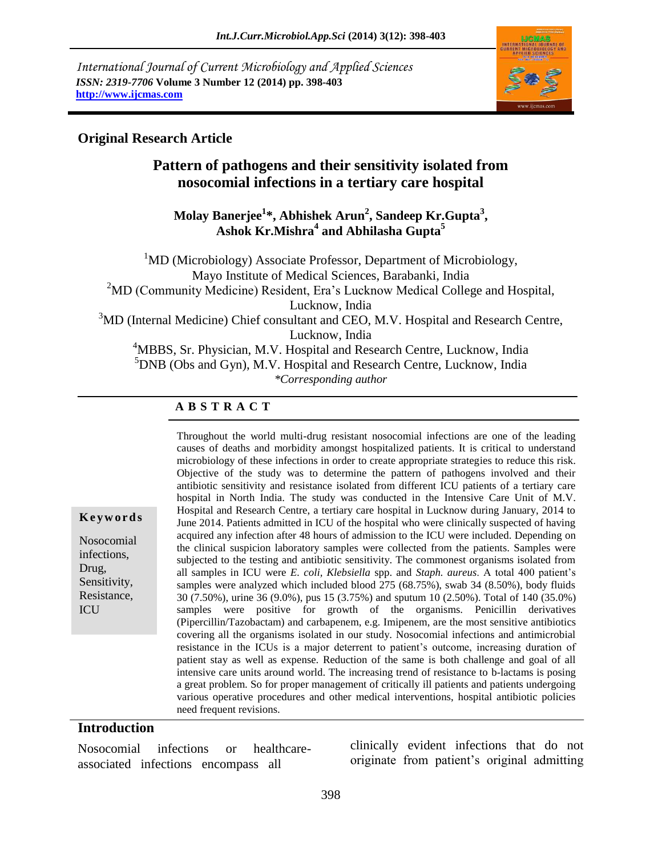*International Journal of Current Microbiology and Applied Sciences ISSN: 2319-7706* **Volume 3 Number 12 (2014) pp. 398-403 http://www.ijcmas.com** 



### **Original Research Article**

## **Pattern of pathogens and their sensitivity isolated from nosocomial infections in a tertiary care hospital**

### **Molay Banerjee<sup>1</sup> \*, Abhishek Arun<sup>2</sup> , Sandeep Kr.Gupta<sup>3</sup> , Ashok Kr.Mishra<sup>4</sup> and Abhilasha Gupta<sup>5</sup>**

 $1<sup>1</sup>MD$  (Microbiology) Associate Professor, Department of Microbiology, Mayo Institute of Medical Sciences, Barabanki, India <sup>2</sup>MD (Community Medicine) Resident, Era's Lucknow Medical College and Hospital, Lucknow, India <sup>3</sup>MD (Internal Medicine) Chief consultant and CEO, M.V. Hospital and Research Centre, Lucknow, India <sup>4</sup>MBBS, Sr. Physician, M.V. Hospital and Research Centre, Lucknow, India  ${}^{5}$ DNB (Obs and Gyn), M.V. Hospital and Research Centre, Lucknow, India

*\*Corresponding author* 

#### **A B S T R A C T**

Throughout the world multi-drug resistant nosocomial infections are one of the leading causes of deaths and morbidity amongst hospitalized patients. It is critical to understand microbiology of these infections in order to create appropriate strategies to reduce this risk. Objective of the study was to determine the pattern of pathogens involved and their antibiotic sensitivity and resistance isolated from different ICU patients of a tertiary care hospital in North India. The study was conducted in the Intensive Care Unit of M.V. Hospital and Research Centre, a tertiary care hospital in Lucknow during January, 2014 to June 2014. Patients admitted in ICU of the hospital who were clinically suspected of having acquired any infection after 48 hours of admission to the ICU were included. Depending on the clinical suspicion laboratory samples were collected from the patients. Samples were subjected to the testing and antibiotic sensitivity. The commonest organisms isolated from all samples in ICU were *E. coli, Klebsiella* spp. and *Staph. aureus*. A total 400 patient's samples were analyzed which included blood 275 (68.75%), swab 34 (8.50%), body fluids 30 (7.50%), urine 36 (9.0%), pus 15 (3.75%) and sputum 10 (2.50%). Total of 140 (35.0%) samples were positive for growth of the organisms. Penicillin derivatives (Pipercillin/Tazobactam) and carbapenem, e.g. Imipenem, are the most sensitive antibiotics covering all the organisms isolated in our study. Nosocomial infections and antimicrobial resistance in the ICUs is a major deterrent to patient's outcome, increasing duration of patient stay as well as expense. Reduction of the same is both challenge and goal of all intensive care units around world. The increasing trend of resistance to b-lactams is posing a great problem. So for proper management of critically ill patients and patients undergoing various operative procedures and other medical interventions, hospital antibiotic policies need frequent revisions.

### **Introduction**

**K e y w o r d s**

Nosocomial infections, Drug, Sensitivity, Resistance,

ICU

Nosocomial infections or healthcareassociated infections encompass all

clinically evident infections that do not originate from patient's original admitting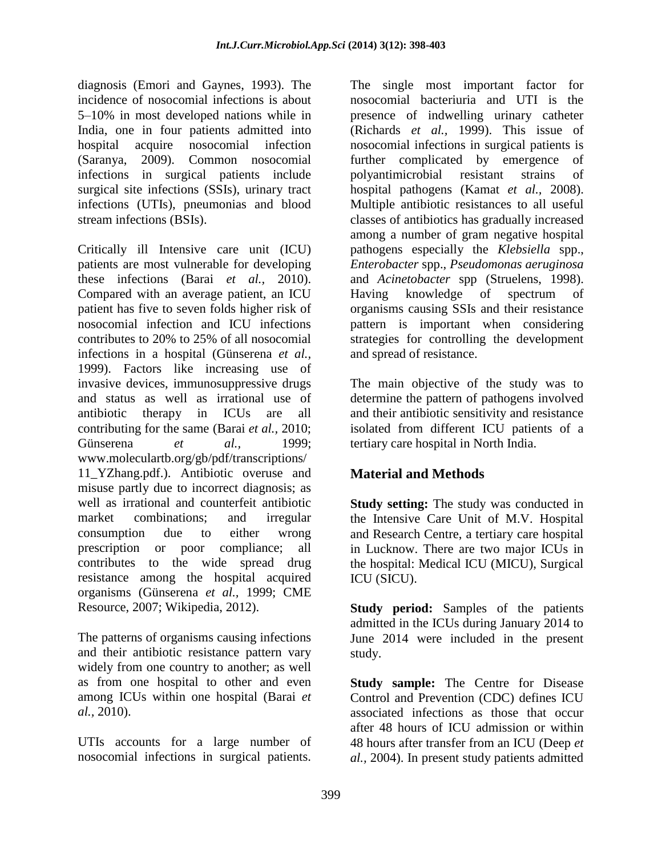diagnosis (Emori and Gaynes, 1993). The incidence of nosocomial infections is about 5–10% in most developed nations while in India, one in four patients admitted into hospital acquire nosocomial infection (Saranya, 2009). Common nosocomial infections in surgical patients include surgical site infections (SSIs), urinary tract infections (UTIs), pneumonias and blood stream infections (BSIs).

Critically ill Intensive care unit (ICU) patients are most vulnerable for developing these infections (Barai *et al.,* 2010). Compared with an average patient, an ICU patient has five to seven folds higher risk of nosocomial infection and ICU infections contributes to 20% to 25% of all nosocomial infections in a hospital (Günserena *et al.,* 1999). Factors like increasing use of invasive devices, immunosuppressive drugs and status as well as irrational use of antibiotic therapy in ICUs are all contributing for the same (Barai *et al.,* 2010; Günserena *et al.*, 1999; www.moleculartb.org/gb/pdf/transcriptions/ 11\_YZhang.pdf.). Antibiotic overuse and misuse partly due to incorrect diagnosis; as well as irrational and counterfeit antibiotic market combinations; and irregular consumption due to either wrong prescription or poor compliance; all contributes to the wide spread drug resistance among the hospital acquired organisms (Günserena *et al.,* 1999; CME Resource, 2007; Wikipedia, 2012).

The patterns of organisms causing infections and their antibiotic resistance pattern vary widely from one country to another; as well as from one hospital to other and even among ICUs within one hospital (Barai *et al.,* 2010).

UTIs accounts for a large number of nosocomial infections in surgical patients.

The single most important factor for nosocomial bacteriuria and UTI is the presence of indwelling urinary catheter (Richards *et al.,* 1999). This issue of nosocomial infections in surgical patients is further complicated by emergence of polyantimicrobial resistant strains of hospital pathogens (Kamat *et al.,* 2008). Multiple antibiotic resistances to all useful classes of antibiotics has gradually increased among a number of gram negative hospital pathogens especially the *Klebsiella* spp., *Enterobacter* spp., *Pseudomonas aeruginosa*  and *Acinetobacter* spp (Struelens, 1998). Having knowledge of spectrum of organisms causing SSIs and their resistance pattern is important when considering strategies for controlling the development and spread of resistance.

The main objective of the study was to determine the pattern of pathogens involved and their antibiotic sensitivity and resistance isolated from different ICU patients of a tertiary care hospital in North India.

# **Material and Methods**

**Study setting:** The study was conducted in the Intensive Care Unit of M.V. Hospital and Research Centre, a tertiary care hospital in Lucknow. There are two major ICUs in the hospital: Medical ICU (MICU), Surgical ICU (SICU).

**Study period:** Samples of the patients admitted in the ICUs during January 2014 to June 2014 were included in the present study.

**Study sample:** The Centre for Disease Control and Prevention (CDC) defines ICU associated infections as those that occur after 48 hours of ICU admission or within 48 hours after transfer from an ICU (Deep *et al.,* 2004). In present study patients admitted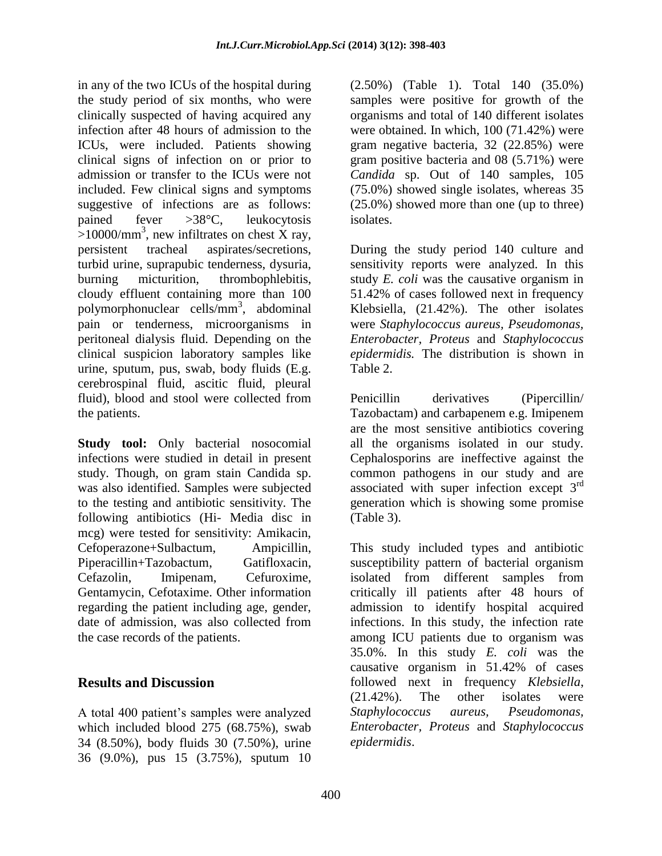in any of the two ICUs of the hospital during the study period of six months, who were clinically suspected of having acquired any infection after 48 hours of admission to the ICUs, were included. Patients showing clinical signs of infection on or prior to admission or transfer to the ICUs were not included. Few clinical signs and symptoms suggestive of infections are as follows: pained fever >38°C, leukocytosis  $>10000/\text{mm}^3$ , new infiltrates on chest X ray, persistent tracheal aspirates/secretions, turbid urine, suprapubic tenderness, dysuria, burning micturition, thrombophlebitis, cloudy effluent containing more than 100 polymorphonuclear cells/mm<sup>3</sup> , abdominal pain or tenderness, microorganisms in peritoneal dialysis fluid. Depending on the clinical suspicion laboratory samples like urine, sputum, pus, swab, body fluids (E.g. cerebrospinal fluid, ascitic fluid, pleural fluid), blood and stool were collected from the patients.

**Study tool:** Only bacterial nosocomial infections were studied in detail in present study. Though, on gram stain Candida sp. was also identified. Samples were subjected to the testing and antibiotic sensitivity. The following antibiotics (Hi- Media disc in mcg) were tested for sensitivity: Amikacin, Cefoperazone+Sulbactum, Ampicillin, Piperacillin+Tazobactum, Gatifloxacin, Cefazolin, Imipenam, Cefuroxime, Gentamycin, Cefotaxime. Other information regarding the patient including age, gender, date of admission, was also collected from the case records of the patients.

## **Results and Discussion**

A total 400 patient's samples were analyzed which included blood 275 (68.75%), swab 34 (8.50%), body fluids 30 (7.50%), urine 36 (9.0%), pus 15 (3.75%), sputum 10

(2.50%) (Table 1). Total 140 (35.0%) samples were positive for growth of the organisms and total of 140 different isolates were obtained. In which, 100 (71.42%) were gram negative bacteria, 32 (22.85%) were gram positive bacteria and 08 (5.71%) were *Candida* sp. Out of 140 samples, 105 (75.0%) showed single isolates, whereas 35 (25.0%) showed more than one (up to three) isolates.

During the study period 140 culture and sensitivity reports were analyzed. In this study *E. coli* was the causative organism in 51.42% of cases followed next in frequency Klebsiella, (21.42%). The other isolates were *Staphylococcus aureus, Pseudomonas, Enterobacter, Proteus* and *Staphylococcus epidermidis.* The distribution is shown in Table 2.

Penicillin derivatives (Pipercillin/ Tazobactam) and carbapenem e.g. Imipenem are the most sensitive antibiotics covering all the organisms isolated in our study. Cephalosporins are ineffective against the common pathogens in our study and are associated with super infection except 3<sup>rd</sup> generation which is showing some promise (Table 3).

This study included types and antibiotic susceptibility pattern of bacterial organism isolated from different samples from critically ill patients after 48 hours of admission to identify hospital acquired infections. In this study, the infection rate among ICU patients due to organism was 35.0%. In this study *E. coli* was the causative organism in 51.42% of cases followed next in frequency *Klebsiella*, (21.42%). The other isolates were *Staphylococcus aureus, Pseudomonas, Enterobacter, Proteus* and *Staphylococcus epidermidis*.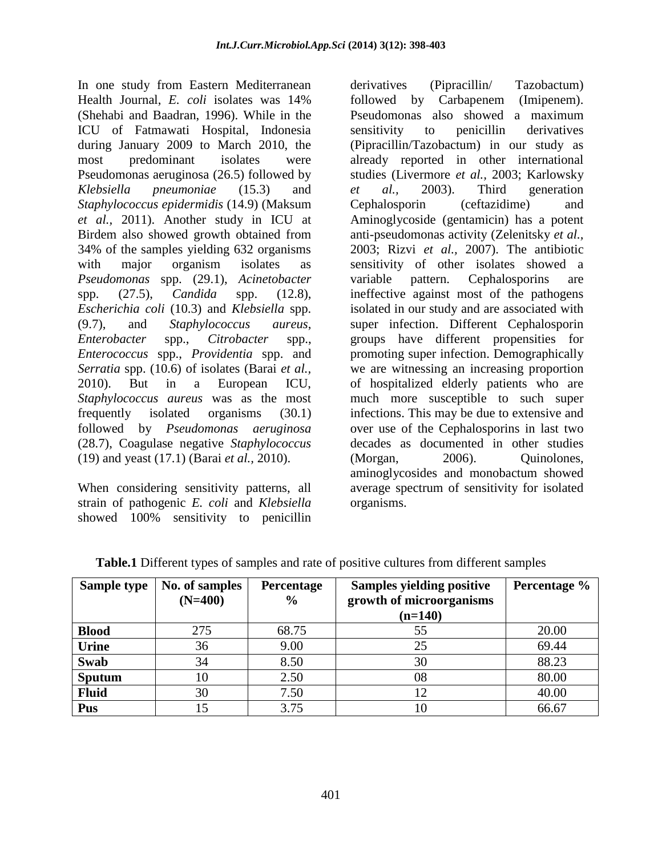In one study from Eastern Mediterranean Health Journal, *E. coli* isolates was 14% (Shehabi and Baadran, 1996). While in the ICU of Fatmawati Hospital, Indonesia during January 2009 to March 2010, the most predominant isolates were Pseudomonas aeruginosa (26.5) followed by *Klebsiella pneumoniae* (15.3) and *Staphylococcus epidermidis* (14.9) (Maksum *et al.,* 2011). Another study in ICU at Birdem also showed growth obtained from 34% of the samples yielding 632 organisms with major organism isolates as *Pseudomonas* spp. (29.1), *Acinetobacter* spp. (27.5), *Candida* spp. (12.8), *Escherichia coli* (10.3) and *Klebsiella* spp. (9.7), and *Staphylococcus aureus*, *Enterobacter* spp., *Citrobacter* spp., *Enterococcus* spp., *Providentia* spp. and *Serratia* spp. (10.6) of isolates (Barai *et al.,* 2010). But in a European ICU, *Staphylococcus aureus* was as the most frequently isolated organisms (30.1) followed by *Pseudomonas aeruginosa* (28.7), Coagulase negative *Staphylococcus* (19) and yeast (17.1) (Barai *et al.,* 2010).

When considering sensitivity patterns, all strain of pathogenic *E. coli* and *Klebsiella*  showed 100% sensitivity to penicillin

derivatives (Pipracillin/ Tazobactum) followed by Carbapenem (Imipenem). Pseudomonas also showed a maximum sensitivity to penicillin derivatives (Pipracillin/Tazobactum) in our study as already reported in other international studies (Livermore *et al.,* 2003; Karlowsky *et al.,* 2003). Third generation Cephalosporin (ceftazidime) and Aminoglycoside (gentamicin) has a potent anti-pseudomonas activity (Zelenitsky *et al.,* 2003; Rizvi *et al.,* 2007). The antibiotic sensitivity of other isolates showed a variable pattern. Cephalosporins are ineffective against most of the pathogens isolated in our study and are associated with super infection. Different Cephalosporin groups have different propensities for promoting super infection. Demographically we are witnessing an increasing proportion of hospitalized elderly patients who are much more susceptible to such super infections. This may be due to extensive and over use of the Cephalosporins in last two decades as documented in other studies (Morgan, 2006). Quinolones, aminoglycosides and monobactum showed average spectrum of sensitivity for isolated organisms.

| Sample type   | No. of samples<br>$(N=400)$ | <b>Percentage</b><br>$\%$ | <b>Samples yielding positive</b><br>growth of microorganisms<br>$(n=140)$ | Percentage % |
|---------------|-----------------------------|---------------------------|---------------------------------------------------------------------------|--------------|
| <b>Blood</b>  | 275                         | 68.75                     | 55                                                                        | 20.00        |
| Urine         | 36                          | 9.00                      | 25                                                                        | 69.44        |
| Swab          | 34                          | 8.50                      | 30                                                                        | 88.23        |
| <b>Sputum</b> | 10                          | 2.50                      | 08                                                                        | 80.00        |
| <b>Fluid</b>  | 30                          | 7.50                      | 12                                                                        | 40.00        |
| Pus           | 15                          | 3.75                      |                                                                           | 66.67        |

**Table.1** Different types of samples and rate of positive cultures from different samples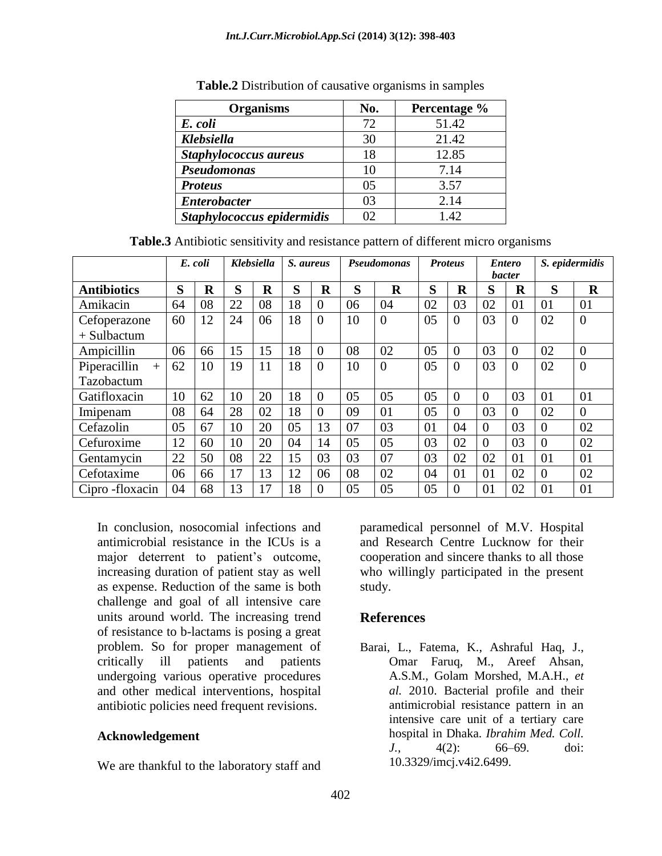| <b>Organisms</b>           | No. | Percentage % |  |  |  |
|----------------------------|-----|--------------|--|--|--|
| E. coli                    | 72  | 51.42        |  |  |  |
| Klebsiella                 | 30  | 21.42        |  |  |  |
| Staphylococcus aureus      | 18  | 12.85        |  |  |  |
| Pseudomonas                | 10  | 7.14         |  |  |  |
| <b>Proteus</b>             | 05  | 3.57         |  |  |  |
| <b>Enterobacter</b>        | 03  | 2.14         |  |  |  |
| Staphylococcus epidermidis | 02  | 1.42         |  |  |  |

**Table.2** Distribution of causative organisms in samples

|  | Table.3 Antibiotic sensitivity and resistance pattern of different micro organisms |  |  |
|--|------------------------------------------------------------------------------------|--|--|
|  |                                                                                    |  |  |

|                     | E. coli |             | <b>Klebsiella</b> |             | S. aureus |                  | <b>Pseudomonas</b> |          | <b>Proteus</b> |          | <b>Entero</b><br><i>bacter</i> |             | S. epidermidis |                |
|---------------------|---------|-------------|-------------------|-------------|-----------|------------------|--------------------|----------|----------------|----------|--------------------------------|-------------|----------------|----------------|
| <b>Antibiotics</b>  | S       | $\mathbf R$ | S                 | $\mathbf R$ | S         | $\mathbf R$      | S                  | $\bf R$  | S              | $\bf R$  | S                              | $\mathbf R$ | S              | $\bf{R}$       |
| Amikacin            | 64      | 08          | 22                | 08          | 18        | $\overline{0}$   | 06                 | 04       | 02             | 03       | 02                             | 01          | 01             | 01             |
| Cefoperazone        | 60      | 12          | 24                | 06          | 18        | $\boldsymbol{0}$ | 10                 | $\theta$ | 05             | $\Omega$ | 03                             | $\Omega$    | 02             | $\overline{0}$ |
| $+$ Sulbactum       |         |             |                   |             |           |                  |                    |          |                |          |                                |             |                |                |
| Ampicillin          | 06      | 66          | 15                | 15          | 18        | $\overline{0}$   | 08                 | 02       | 05             | $\Omega$ | 03                             | $\Omega$    | 02             | $\overline{0}$ |
| Piperacillin<br>$+$ | 62      | 10          | 19                | 11          | 18        | $\overline{0}$   | 10                 | $\Omega$ | 05             | $\Omega$ | 03                             | $\Omega$    | 02             | $\overline{0}$ |
| Tazobactum          |         |             |                   |             |           |                  |                    |          |                |          |                                |             |                |                |
| Gatifloxacin        | 10      | 62          | 10                | 20          | 18        | $\overline{0}$   | 05                 | 05       | 05             | $\Omega$ | $\Omega$                       | 03          | 01             | 01             |
| Imipenam            | 08      | 64          | 28                | 02          | 18        | $\overline{0}$   | 09                 | 01       | 05             | $\Omega$ | 03                             | $\Omega$    | 02             | $\overline{0}$ |
| Cefazolin           | 05      | 67          | 10                | 20          | 05        | 13               | 07                 | 03       | 01             | 04       | $\Omega$                       | 03          | $\Omega$       | 02             |
| Cefuroxime          | 12      | 60          | 10                | 20          | 04        | 14               | 05                 | 05       | 03             | 02       | $\Omega$                       | 03          | $\theta$       | 02             |
| Gentamycin          | 22      | 50          | 08                | 22          | 15        | 03               | 03                 | 07       | 03             | 02       | 02                             | 01          | 01             | 01             |
| Cefotaxime          | 06      | 66          | 17                | 13          | 12        | 06               | 08                 | 02       | 04             | 01       | 01                             | 02          | $\Omega$       | 02             |
| Cipro-floxacin      | 04      | 68          | 13                | 17          | 18        | $\overline{0}$   | 05                 | 05       | 05             | $\Omega$ | 01                             | 02          | 01             | 01             |

In conclusion, nosocomial infections and antimicrobial resistance in the ICUs is a major deterrent to patient's outcome, increasing duration of patient stay as well as expense. Reduction of the same is both challenge and goal of all intensive care units around world. The increasing trend of resistance to b-lactams is posing a great problem. So for proper management of critically ill patients and patients undergoing various operative procedures and other medical interventions, hospital antibiotic policies need frequent revisions.

#### **Acknowledgement**

We are thankful to the laboratory staff and

paramedical personnel of M.V. Hospital and Research Centre Lucknow for their cooperation and sincere thanks to all those who willingly participated in the present study.

#### **References**

Barai, L., Fatema, K., Ashraful Haq, J., Omar Faruq, M., Areef Ahsan, A.S.M., Golam Morshed, M.A.H., *et al.* 2010. Bacterial profile and their antimicrobial resistance pattern in an intensive care unit of a tertiary care hospital in Dhaka. *Ibrahim Med. Coll. J.,* 4(2): 66–69. doi: 10.3329/imcj.v4i2.6499.